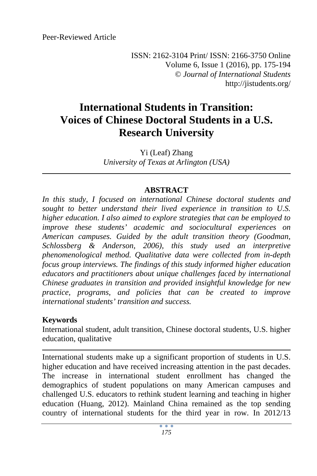Peer-Reviewed Article

ISSN: 2162-3104 Print/ ISSN: 2166-3750 Online Volume 6, Issue 1 (2016), pp. 175-194 © *Journal of International Students* http://jistudents.org/

# **International Students in Transition: Voices of Chinese Doctoral Students in a U.S. Research University**

Yi (Leaf) Zhang *University of Texas at Arlington (USA)* 

## **ABSTRACT**

*In this study, I focused on international Chinese doctoral students and sought to better understand their lived experience in transition to U.S. higher education. I also aimed to explore strategies that can be employed to improve these students' academic and sociocultural experiences on American campuses. Guided by the adult transition theory (Goodman, Schlossberg & Anderson, 2006), this study used an interpretive phenomenological method. Qualitative data were collected from in-depth focus group interviews. The findings of this study informed higher education educators and practitioners about unique challenges faced by international Chinese graduates in transition and provided insightful knowledge for new practice, programs, and policies that can be created to improve international students' transition and success.* 

#### **Keywords**

International student, adult transition, Chinese doctoral students, U.S. higher education, qualitative

International students make up a significant proportion of students in U.S. higher education and have received increasing attention in the past decades. The increase in international student enrollment has changed the demographics of student populations on many American campuses and challenged U.S. educators to rethink student learning and teaching in higher education (Huang, 2012). Mainland China remained as the top sending country of international students for the third year in row. In 2012/13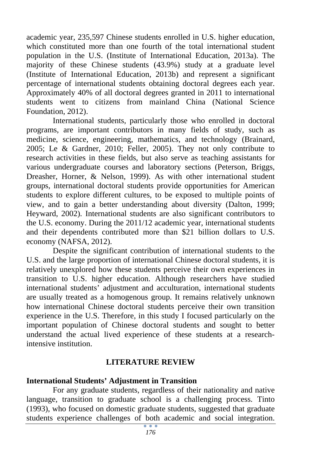academic year, 235,597 Chinese students enrolled in U.S. higher education, which constituted more than one fourth of the total international student population in the U.S. (Institute of International Education, 2013a). The majority of these Chinese students (43.9%) study at a graduate level (Institute of International Education, 2013b) and represent a significant percentage of international students obtaining doctoral degrees each year. Approximately 40% of all doctoral degrees granted in 2011 to international students went to citizens from mainland China (National Science Foundation, 2012).

International students, particularly those who enrolled in doctoral programs, are important contributors in many fields of study, such as medicine, science, engineering, mathematics, and technology (Brainard, 2005; Le & Gardner, 2010; Feller, 2005). They not only contribute to research activities in these fields, but also serve as teaching assistants for various undergraduate courses and laboratory sections (Peterson, Briggs, Dreasher, Horner, & Nelson, 1999). As with other international student groups, international doctoral students provide opportunities for American students to explore different cultures, to be exposed to multiple points of view, and to gain a better understanding about diversity (Dalton, 1999; Heyward, 2002). International students are also significant contributors to the U.S. economy. During the 2011/12 academic year, international students and their dependents contributed more than \$21 billion dollars to U.S. economy (NAFSA, 2012).

Despite the significant contribution of international students to the U.S. and the large proportion of international Chinese doctoral students, it is relatively unexplored how these students perceive their own experiences in transition to U.S. higher education. Although researchers have studied international students' adjustment and acculturation, international students are usually treated as a homogenous group. It remains relatively unknown how international Chinese doctoral students perceive their own transition experience in the U.S. Therefore, in this study I focused particularly on the important population of Chinese doctoral students and sought to better understand the actual lived experience of these students at a researchintensive institution.

#### **LITERATURE REVIEW**

#### **International Students' Adjustment in Transition**

For any graduate students, regardless of their nationality and native language, transition to graduate school is a challenging process. Tinto (1993), who focused on domestic graduate students, suggested that graduate students experience challenges of both academic and social integration.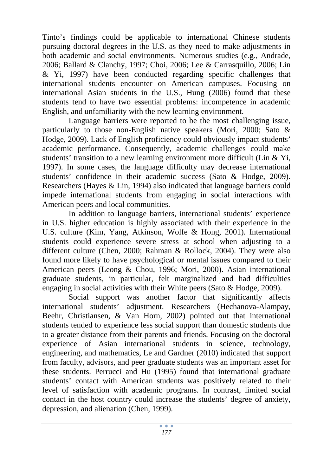Tinto's findings could be applicable to international Chinese students pursuing doctoral degrees in the U.S. as they need to make adjustments in both academic and social environments. Numerous studies (e.g., Andrade, 2006; Ballard & Clanchy, 1997; Choi, 2006; Lee & Carrasquillo, 2006; Lin & Yi, 1997) have been conducted regarding specific challenges that international students encounter on American campuses. Focusing on international Asian students in the U.S., Hung (2006) found that these students tend to have two essential problems: incompetence in academic English, and unfamiliarity with the new learning environment.

Language barriers were reported to be the most challenging issue, particularly to those non-English native speakers (Mori, 2000; Sato & Hodge, 2009). Lack of English proficiency could obviously impact students' academic performance. Consequently, academic challenges could make students' transition to a new learning environment more difficult (Lin & Yi, 1997). In some cases, the language difficulty may decrease international students' confidence in their academic success (Sato & Hodge, 2009). Researchers (Hayes & Lin, 1994) also indicated that language barriers could impede international students from engaging in social interactions with American peers and local communities.

In addition to language barriers, international students' experience in U.S. higher education is highly associated with their experience in the U.S. culture (Kim, Yang, Atkinson, Wolfe & Hong, 2001). International students could experience severe stress at school when adjusting to a different culture (Chen, 2000; Rahman & Rollock, 2004). They were also found more likely to have psychological or mental issues compared to their American peers (Leong & Chou, 1996; Mori, 2000). Asian international graduate students, in particular, felt marginalized and had difficulties engaging in social activities with their White peers (Sato & Hodge, 2009).

Social support was another factor that significantly affects international students' adjustment. Researchers (Hechanova-Alampay, Beehr, Christiansen, & Van Horn, 2002) pointed out that international students tended to experience less social support than domestic students due to a greater distance from their parents and friends. Focusing on the doctoral experience of Asian international students in science, technology, engineering, and mathematics, Le and Gardner (2010) indicated that support from faculty, advisors, and peer graduate students was an important asset for these students. Perrucci and Hu (1995) found that international graduate students' contact with American students was positively related to their level of satisfaction with academic programs. In contrast, limited social contact in the host country could increase the students' degree of anxiety, depression, and alienation (Chen, 1999).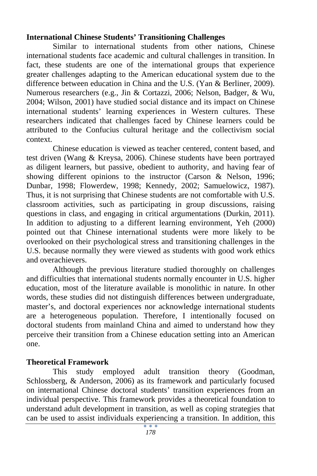#### **International Chinese Students' Transitioning Challenges**

Similar to international students from other nations, Chinese international students face academic and cultural challenges in transition. In fact, these students are one of the international groups that experience greater challenges adapting to the American educational system due to the difference between education in China and the U.S. (Yan & Berliner, 2009). Numerous researchers (e.g., Jin & Cortazzi, 2006; Nelson, Badger, & Wu, 2004; Wilson, 2001) have studied social distance and its impact on Chinese international students' learning experiences in Western cultures. These researchers indicated that challenges faced by Chinese learners could be attributed to the Confucius cultural heritage and the collectivism social context.

Chinese education is viewed as teacher centered, content based, and test driven (Wang & Kreysa, 2006). Chinese students have been portrayed as diligent learners, but passive, obedient to authority, and having fear of showing different opinions to the instructor (Carson & Nelson, 1996; Dunbar, 1998; Flowerdew, 1998; Kennedy, 2002; Samuelowicz, 1987). Thus, it is not surprising that Chinese students are not comfortable with U.S. classroom activities, such as participating in group discussions, raising questions in class, and engaging in critical argumentations (Durkin, 2011). In addition to adjusting to a different learning environment, Yeh (2000) pointed out that Chinese international students were more likely to be overlooked on their psychological stress and transitioning challenges in the U.S. because normally they were viewed as students with good work ethics and overachievers.

Although the previous literature studied thoroughly on challenges and difficulties that international students normally encounter in U.S. higher education, most of the literature available is monolithic in nature. In other words, these studies did not distinguish differences between undergraduate, master's, and doctoral experiences nor acknowledge international students are a heterogeneous population. Therefore, I intentionally focused on doctoral students from mainland China and aimed to understand how they perceive their transition from a Chinese education setting into an American one.

## **Theoretical Framework**

This study employed adult transition theory (Goodman, Schlossberg, & Anderson, 2006) as its framework and particularly focused on international Chinese doctoral students' transition experiences from an individual perspective. This framework provides a theoretical foundation to understand adult development in transition, as well as coping strategies that can be used to assist individuals experiencing a transition. In addition, this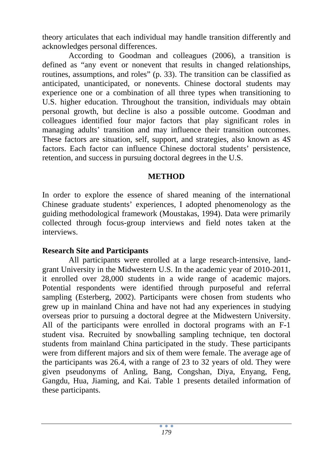theory articulates that each individual may handle transition differently and acknowledges personal differences.

According to Goodman and colleagues (2006), a transition is defined as "any event or nonevent that results in changed relationships, routines, assumptions, and roles" (p. 33). The transition can be classified as anticipated, unanticipated, or nonevents. Chinese doctoral students may experience one or a combination of all three types when transitioning to U.S. higher education. Throughout the transition, individuals may obtain personal growth, but decline is also a possible outcome. Goodman and colleagues identified four major factors that play significant roles in managing adults' transition and may influence their transition outcomes. These factors are situation, self, support, and strategies, also known as 4*S* factors. Each factor can influence Chinese doctoral students' persistence, retention, and success in pursuing doctoral degrees in the U.S.

#### **METHOD**

In order to explore the essence of shared meaning of the international Chinese graduate students' experiences, I adopted phenomenology as the guiding methodological framework (Moustakas, 1994). Data were primarily collected through focus-group interviews and field notes taken at the interviews.

#### **Research Site and Participants**

All participants were enrolled at a large research-intensive, landgrant University in the Midwestern U.S. In the academic year of 2010-2011, it enrolled over 28,000 students in a wide range of academic majors. Potential respondents were identified through purposeful and referral sampling (Esterberg, 2002). Participants were chosen from students who grew up in mainland China and have not had any experiences in studying overseas prior to pursuing a doctoral degree at the Midwestern University. All of the participants were enrolled in doctoral programs with an F-1 student visa. Recruited by snowballing sampling technique, ten doctoral students from mainland China participated in the study. These participants were from different majors and six of them were female. The average age of the participants was 26.4, with a range of 23 to 32 years of old. They were given pseudonyms of Anling, Bang, Congshan, Diya, Enyang, Feng, Gangdu, Hua, Jiaming, and Kai. Table 1 presents detailed information of these participants.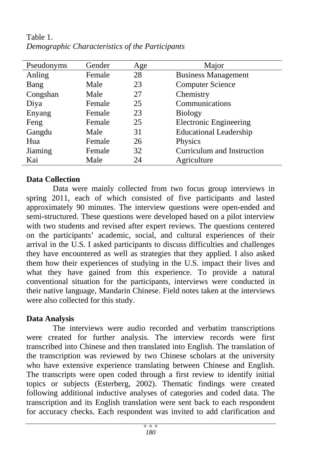| Pseudonyms | Gender | Age | Major                         |
|------------|--------|-----|-------------------------------|
| Anling     | Female | 28  | <b>Business Management</b>    |
| Bang       | Male   | 23  | <b>Computer Science</b>       |
| Congshan   | Male   | 27  | Chemistry                     |
| Diya       | Female | 25  | Communications                |
| Enyang     | Female | 23  | <b>Biology</b>                |
| Feng       | Female | 25  | <b>Electronic Engineering</b> |
| Gangdu     | Male   | 31  | <b>Educational Leadership</b> |
| Hua        | Female | 26  | Physics                       |
| Jiaming    | Female | 32  | Curriculum and Instruction    |
| Kai        | Male   | 24  | Agriculture                   |

Table 1. *Demographic Characteristics of the Participants* 

## **Data Collection**

Data were mainly collected from two focus group interviews in spring 2011, each of which consisted of five participants and lasted approximately 90 minutes. The interview questions were open-ended and semi-structured. These questions were developed based on a pilot interview with two students and revised after expert reviews. The questions centered on the participants' academic, social, and cultural experiences of their arrival in the U.S. I asked participants to discuss difficulties and challenges they have encountered as well as strategies that they applied. I also asked them how their experiences of studying in the U.S. impact their lives and what they have gained from this experience. To provide a natural conventional situation for the participants, interviews were conducted in their native language, Mandarin Chinese. Field notes taken at the interviews were also collected for this study.

## **Data Analysis**

The interviews were audio recorded and verbatim transcriptions were created for further analysis. The interview records were first transcribed into Chinese and then translated into English. The translation of the transcription was reviewed by two Chinese scholars at the university who have extensive experience translating between Chinese and English. The transcripts were open coded through a first review to identify initial topics or subjects (Esterberg, 2002). Thematic findings were created following additional inductive analyses of categories and coded data. The transcription and its English translation were sent back to each respondent for accuracy checks. Each respondent was invited to add clarification and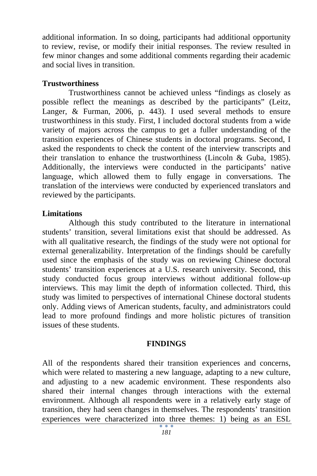additional information. In so doing, participants had additional opportunity to review, revise, or modify their initial responses. The review resulted in few minor changes and some additional comments regarding their academic and social lives in transition.

#### **Trustworthiness**

Trustworthiness cannot be achieved unless "findings as closely as possible reflect the meanings as described by the participants" (Leitz, Langer, & Furman, 2006, p. 443). I used several methods to ensure trustworthiness in this study. First, I included doctoral students from a wide variety of majors across the campus to get a fuller understanding of the transition experiences of Chinese students in doctoral programs. Second, I asked the respondents to check the content of the interview transcripts and their translation to enhance the trustworthiness (Lincoln  $& Guba, 1985$ ). Additionally, the interviews were conducted in the participants' native language, which allowed them to fully engage in conversations. The translation of the interviews were conducted by experienced translators and reviewed by the participants.

#### **Limitations**

Although this study contributed to the literature in international students' transition, several limitations exist that should be addressed. As with all qualitative research, the findings of the study were not optional for external generalizability. Interpretation of the findings should be carefully used since the emphasis of the study was on reviewing Chinese doctoral students' transition experiences at a U.S. research university. Second, this study conducted focus group interviews without additional follow-up interviews. This may limit the depth of information collected. Third, this study was limited to perspectives of international Chinese doctoral students only. Adding views of American students, faculty, and administrators could lead to more profound findings and more holistic pictures of transition issues of these students.

#### **FINDINGS**

All of the respondents shared their transition experiences and concerns, which were related to mastering a new language, adapting to a new culture, and adjusting to a new academic environment. These respondents also shared their internal changes through interactions with the external environment. Although all respondents were in a relatively early stage of transition, they had seen changes in themselves. The respondents' transition experiences were characterized into three themes: 1) being as an ESL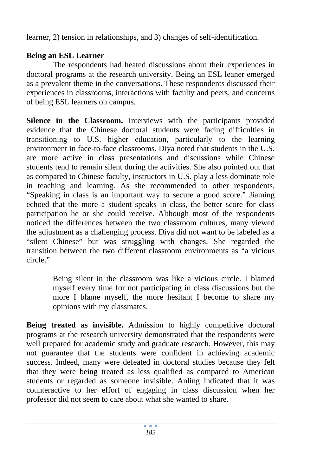learner, 2) tension in relationships, and 3) changes of self-identification.

## **Being an ESL Learner**

The respondents had heated discussions about their experiences in doctoral programs at the research university. Being an ESL leaner emerged as a prevalent theme in the conversations. These respondents discussed their experiences in classrooms, interactions with faculty and peers, and concerns of being ESL learners on campus.

**Silence in the Classroom.** Interviews with the participants provided evidence that the Chinese doctoral students were facing difficulties in transitioning to U.S. higher education, particularly to the learning environment in face-to-face classrooms. Diya noted that students in the U.S. are more active in class presentations and discussions while Chinese students tend to remain silent during the activities. She also pointed out that as compared to Chinese faculty, instructors in U.S. play a less dominate role in teaching and learning. As she recommended to other respondents, "Speaking in class is an important way to secure a good score." Jiaming echoed that the more a student speaks in class, the better score for class participation he or she could receive. Although most of the respondents noticed the differences between the two classroom cultures, many viewed the adjustment as a challenging process. Diya did not want to be labeled as a "silent Chinese" but was struggling with changes. She regarded the transition between the two different classroom environments as "a vicious circle."

> Being silent in the classroom was like a vicious circle. I blamed myself every time for not participating in class discussions but the more I blame myself, the more hesitant I become to share my opinions with my classmates.

**Being treated as invisible.** Admission to highly competitive doctoral programs at the research university demonstrated that the respondents were well prepared for academic study and graduate research. However, this may not guarantee that the students were confident in achieving academic success. Indeed, many were defeated in doctoral studies because they felt that they were being treated as less qualified as compared to American students or regarded as someone invisible. Anling indicated that it was counteractive to her effort of engaging in class discussion when her professor did not seem to care about what she wanted to share.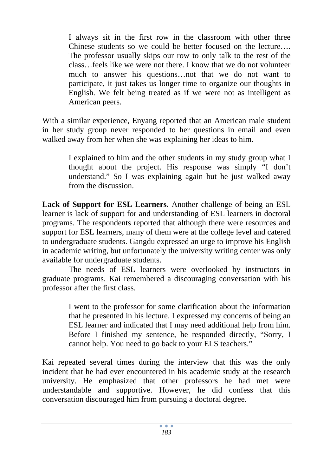I always sit in the first row in the classroom with other three Chinese students so we could be better focused on the lecture…. The professor usually skips our row to only talk to the rest of the class…feels like we were not there. I know that we do not volunteer much to answer his questions…not that we do not want to participate, it just takes us longer time to organize our thoughts in English. We felt being treated as if we were not as intelligent as American peers.

With a similar experience, Enyang reported that an American male student in her study group never responded to her questions in email and even walked away from her when she was explaining her ideas to him.

> I explained to him and the other students in my study group what I thought about the project. His response was simply "I don't understand." So I was explaining again but he just walked away from the discussion.

**Lack of Support for ESL Learners.** Another challenge of being an ESL learner is lack of support for and understanding of ESL learners in doctoral programs. The respondents reported that although there were resources and support for ESL learners, many of them were at the college level and catered to undergraduate students. Gangdu expressed an urge to improve his English in academic writing, but unfortunately the university writing center was only available for undergraduate students.

The needs of ESL learners were overlooked by instructors in graduate programs. Kai remembered a discouraging conversation with his professor after the first class.

> I went to the professor for some clarification about the information that he presented in his lecture. I expressed my concerns of being an ESL learner and indicated that I may need additional help from him. Before I finished my sentence, he responded directly, "Sorry, I cannot help. You need to go back to your ELS teachers."

Kai repeated several times during the interview that this was the only incident that he had ever encountered in his academic study at the research university. He emphasized that other professors he had met were understandable and supportive. However, he did confess that this conversation discouraged him from pursuing a doctoral degree.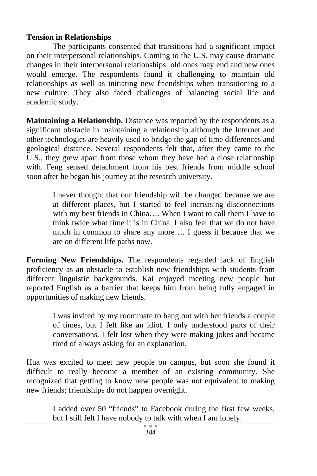## **Tension in Relationships**

The participants consented that transitions had a significant impact on their interpersonal relationships. Coming to the U.S. may cause dramatic changes in their interpersonal relationships: old ones may end and new ones would emerge. The respondents found it challenging to maintain old relationships as well as initiating new friendships when transitioning to a new culture. They also faced challenges of balancing social life and academic study.

**Maintaining a Relationship.** Distance was reported by the respondents as a significant obstacle in maintaining a relationship although the Internet and other technologies are heavily used to bridge the gap of time differences and geological distance. Several respondents felt that, after they came to the U.S., they grew apart from those whom they have had a close relationship with. Feng sensed detachment from his best friends from middle school soon after he began his journey at the research university.

> I never thought that our friendship will be changed because we are at different places, but I started to feel increasing disconnections with my best friends in China…. When I want to call them I have to think twice what time it is in China. I also feel that we do not have much in common to share any more…. I guess it because that we are on different life paths now.

**Forming New Friendships.** The respondents regarded lack of English proficiency as an obstacle to establish new friendships with students from different linguistic backgrounds. Kai enjoyed meeting new people but reported English as a barrier that keeps him from being fully engaged in opportunities of making new friends.

> I was invited by my roommate to hang out with her friends a couple of times, but I felt like an idiot. I only understood parts of their conversations. I felt lost when they were making jokes and became tired of always asking for an explanation.

Hua was excited to meet new people on campus, but soon she found it difficult to really become a member of an existing community. She recognized that getting to know new people was not equivalent to making new friends; friendships do not happen overnight.

> I added over 50 "friends" to Facebook during the first few weeks, but I still felt I have nobody to talk with when I am lonely.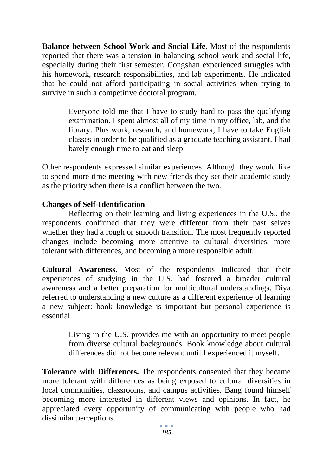**Balance between School Work and Social Life.** Most of the respondents reported that there was a tension in balancing school work and social life, especially during their first semester. Congshan experienced struggles with his homework, research responsibilities, and lab experiments. He indicated that he could not afford participating in social activities when trying to survive in such a competitive doctoral program.

> Everyone told me that I have to study hard to pass the qualifying examination. I spent almost all of my time in my office, lab, and the library. Plus work, research, and homework, I have to take English classes in order to be qualified as a graduate teaching assistant. I had barely enough time to eat and sleep.

Other respondents expressed similar experiences. Although they would like to spend more time meeting with new friends they set their academic study as the priority when there is a conflict between the two.

## **Changes of Self-Identification**

Reflecting on their learning and living experiences in the U.S., the respondents confirmed that they were different from their past selves whether they had a rough or smooth transition. The most frequently reported changes include becoming more attentive to cultural diversities, more tolerant with differences, and becoming a more responsible adult.

**Cultural Awareness.** Most of the respondents indicated that their experiences of studying in the U.S. had fostered a broader cultural awareness and a better preparation for multicultural understandings. Diya referred to understanding a new culture as a different experience of learning a new subject: book knowledge is important but personal experience is essential.

> Living in the U.S. provides me with an opportunity to meet people from diverse cultural backgrounds. Book knowledge about cultural differences did not become relevant until I experienced it myself.

**Tolerance with Differences.** The respondents consented that they became more tolerant with differences as being exposed to cultural diversities in local communities, classrooms, and campus activities. Bang found himself becoming more interested in different views and opinions. In fact, he appreciated every opportunity of communicating with people who had dissimilar perceptions.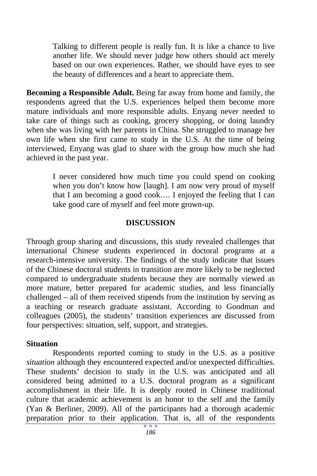Talking to different people is really fun. It is like a chance to live another life. We should never judge how others should act merely based on our own experiences. Rather, we should have eyes to see the beauty of differences and a heart to appreciate them.

**Becoming a Responsible Adult.** Being far away from home and family, the respondents agreed that the U.S. experiences helped them become more mature individuals and more responsible adults. Enyang never needed to take care of things such as cooking, grocery shopping, or doing laundry when she was living with her parents in China. She struggled to manage her own life when she first came to study in the U.S. At the time of being interviewed, Enyang was glad to share with the group how much she had achieved in the past year.

> I never considered how much time you could spend on cooking when you don't know how [laugh]. I am now very proud of myself that I am becoming a good cook…. I enjoyed the feeling that I can take good care of myself and feel more grown-up.

#### **DISCUSSION**

Through group sharing and discussions, this study revealed challenges that international Chinese students experienced in doctoral programs at a research-intensive university. The findings of the study indicate that issues of the Chinese doctoral students in transition are more likely to be neglected compared to undergraduate students because they are normally viewed as more mature, better prepared for academic studies, and less financially challenged – all of them received stipends from the institution by serving as a teaching or research graduate assistant. According to Goodman and colleagues (2005), the students' transition experiences are discussed from four perspectives: situation, self, support, and strategies.

#### **Situation**

Respondents reported coming to study in the U.S. as a positive *situation* although they encountered expected and/or unexpected difficulties. These students' decision to study in the U.S. was anticipated and all considered being admitted to a U.S. doctoral program as a significant accomplishment in their life. It is deeply rooted in Chinese traditional culture that academic achievement is an honor to the self and the family (Yan & Berliner, 2009). All of the participants had a thorough academic preparation prior to their application. That is, all of the respondents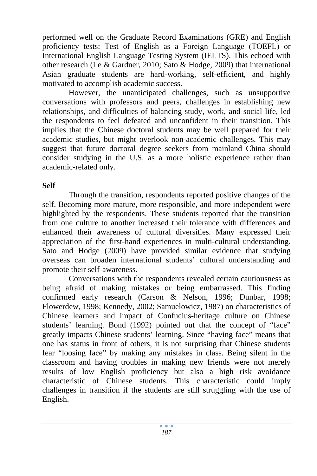performed well on the Graduate Record Examinations (GRE) and English proficiency tests: Test of English as a Foreign Language (TOEFL) or International English Language Testing System (IELTS). This echoed with other research (Le & Gardner, 2010; Sato & Hodge, 2009) that international Asian graduate students are hard-working, self-efficient, and highly motivated to accomplish academic success.

However, the unanticipated challenges, such as unsupportive conversations with professors and peers, challenges in establishing new relationships, and difficulties of balancing study, work, and social life, led the respondents to feel defeated and unconfident in their transition. This implies that the Chinese doctoral students may be well prepared for their academic studies, but might overlook non-academic challenges. This may suggest that future doctoral degree seekers from mainland China should consider studying in the U.S. as a more holistic experience rather than academic-related only.

## **Self**

Through the transition, respondents reported positive changes of the self. Becoming more mature, more responsible, and more independent were highlighted by the respondents. These students reported that the transition from one culture to another increased their tolerance with differences and enhanced their awareness of cultural diversities. Many expressed their appreciation of the first-hand experiences in multi-cultural understanding. Sato and Hodge (2009) have provided similar evidence that studying overseas can broaden international students' cultural understanding and promote their self-awareness.

Conversations with the respondents revealed certain cautiousness as being afraid of making mistakes or being embarrassed. This finding confirmed early research (Carson & Nelson, 1996; Dunbar, 1998; Flowerdew, 1998; Kennedy, 2002; Samuelowicz, 1987) on characteristics of Chinese learners and impact of Confucius-heritage culture on Chinese students' learning. Bond (1992) pointed out that the concept of "face" greatly impacts Chinese students' learning. Since "having face" means that one has status in front of others, it is not surprising that Chinese students fear "loosing face" by making any mistakes in class. Being silent in the classroom and having troubles in making new friends were not merely results of low English proficiency but also a high risk avoidance characteristic of Chinese students. This characteristic could imply challenges in transition if the students are still struggling with the use of English.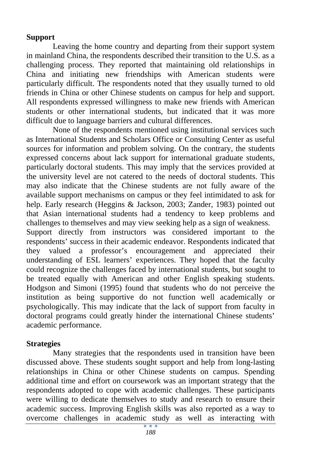## **Support**

Leaving the home country and departing from their support system in mainland China, the respondents described their transition to the U.S. as a challenging process. They reported that maintaining old relationships in China and initiating new friendships with American students were particularly difficult. The respondents noted that they usually turned to old friends in China or other Chinese students on campus for help and support. All respondents expressed willingness to make new friends with American students or other international students, but indicated that it was more difficult due to language barriers and cultural differences.

None of the respondents mentioned using institutional services such as International Students and Scholars Office or Consulting Center as useful sources for information and problem solving. On the contrary, the students expressed concerns about lack support for international graduate students, particularly doctoral students. This may imply that the services provided at the university level are not catered to the needs of doctoral students. This may also indicate that the Chinese students are not fully aware of the available support mechanisms on campus or they feel intimidated to ask for help. Early research (Heggins & Jackson, 2003; Zander, 1983) pointed out that Asian international students had a tendency to keep problems and challenges to themselves and may view seeking help as a sign of weakness. Support directly from instructors was considered important to the respondents' success in their academic endeavor. Respondents indicated that they valued a professor's encouragement and appreciated their understanding of ESL learners' experiences. They hoped that the faculty could recognize the challenges faced by international students, but sought to be treated equally with American and other English speaking students. Hodgson and Simoni (1995) found that students who do not perceive the institution as being supportive do not function well academically or psychologically. This may indicate that the lack of support from faculty in doctoral programs could greatly hinder the international Chinese students' academic performance.

#### **Strategies**

Many strategies that the respondents used in transition have been discussed above. These students sought support and help from long-lasting relationships in China or other Chinese students on campus. Spending additional time and effort on coursework was an important strategy that the respondents adopted to cope with academic challenges. These participants were willing to dedicate themselves to study and research to ensure their academic success. Improving English skills was also reported as a way to overcome challenges in academic study as well as interacting with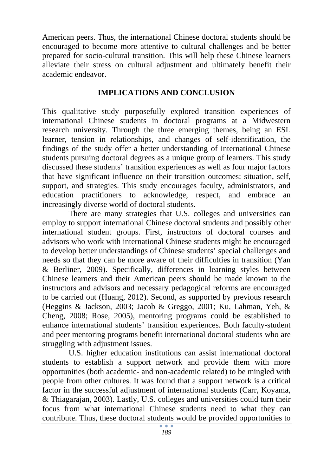American peers. Thus, the international Chinese doctoral students should be encouraged to become more attentive to cultural challenges and be better prepared for socio-cultural transition. This will help these Chinese learners alleviate their stress on cultural adjustment and ultimately benefit their academic endeavor.

#### **IMPLICATIONS AND CONCLUSION**

This qualitative study purposefully explored transition experiences of international Chinese students in doctoral programs at a Midwestern research university. Through the three emerging themes, being an ESL learner, tension in relationships, and changes of self-identification, the findings of the study offer a better understanding of international Chinese students pursuing doctoral degrees as a unique group of learners. This study discussed these students' transition experiences as well as four major factors that have significant influence on their transition outcomes: situation, self, support, and strategies. This study encourages faculty, administrators, and education practitioners to acknowledge, respect, and embrace an increasingly diverse world of doctoral students.

There are many strategies that U.S. colleges and universities can employ to support international Chinese doctoral students and possibly other international student groups. First, instructors of doctoral courses and advisors who work with international Chinese students might be encouraged to develop better understandings of Chinese students' special challenges and needs so that they can be more aware of their difficulties in transition (Yan & Berliner, 2009). Specifically, differences in learning styles between Chinese learners and their American peers should be made known to the instructors and advisors and necessary pedagogical reforms are encouraged to be carried out (Huang, 2012). Second, as supported by previous research (Heggins & Jackson, 2003; Jacob & Greggo, 2001; Ku, Lahman, Yeh, & Cheng, 2008; Rose, 2005), mentoring programs could be established to enhance international students' transition experiences. Both faculty-student and peer mentoring programs benefit international doctoral students who are struggling with adjustment issues.

U.S. higher education institutions can assist international doctoral students to establish a support network and provide them with more opportunities (both academic- and non-academic related) to be mingled with people from other cultures. It was found that a support network is a critical factor in the successful adjustment of international students (Carr, Koyama, & Thiagarajan, 2003). Lastly, U.S. colleges and universities could turn their focus from what international Chinese students need to what they can contribute. Thus, these doctoral students would be provided opportunities to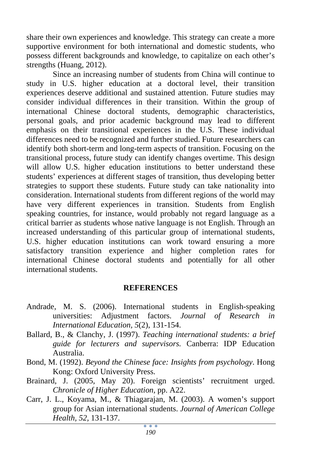share their own experiences and knowledge. This strategy can create a more supportive environment for both international and domestic students, who possess different backgrounds and knowledge, to capitalize on each other's strengths (Huang, 2012).

Since an increasing number of students from China will continue to study in U.S. higher education at a doctoral level, their transition experiences deserve additional and sustained attention. Future studies may consider individual differences in their transition. Within the group of international Chinese doctoral students, demographic characteristics, personal goals, and prior academic background may lead to different emphasis on their transitional experiences in the U.S. These individual differences need to be recognized and further studied. Future researchers can identify both short-term and long-term aspects of transition. Focusing on the transitional process, future study can identify changes overtime. This design will allow U.S. higher education institutions to better understand these students' experiences at different stages of transition, thus developing better strategies to support these students. Future study can take nationality into consideration. International students from different regions of the world may have very different experiences in transition. Students from English speaking countries, for instance, would probably not regard language as a critical barrier as students whose native language is not English. Through an increased understanding of this particular group of international students, U.S. higher education institutions can work toward ensuring a more satisfactory transition experience and higher completion rates for international Chinese doctoral students and potentially for all other international students.

#### **REFERENCES**

- Andrade, M. S. (2006). International students in English-speaking universities: Adjustment factors. *Journal of Research in International Education, 5*(2), 131-154.
- Ballard, B., & Clanchy, J. (1997). *Teaching international students: a brief guide for lecturers and supervisors.* Canberra: IDP Education Australia.
- Bond, M. (1992). *Beyond the Chinese face: Insights from psychology*. Hong Kong: Oxford University Press.
- Brainard, J. (2005, May 20). Foreign scientists' recruitment urged. *Chronicle of Higher Education,* pp. A22.
- Carr, J. L., Koyama, M., & Thiagarajan, M. (2003). A women's support group for Asian international students. *Journal of American College Health, 52,* 131-137.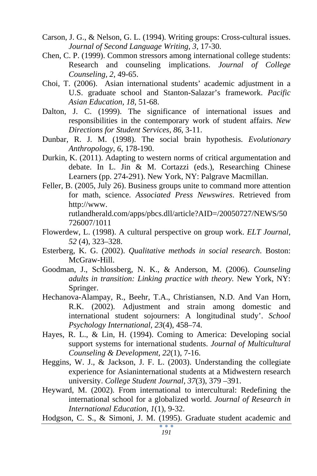- Carson, J. G., & Nelson, G. L. (1994). Writing groups: Cross-cultural issues. *Journal of Second Language Writing, 3,* 17-30.
- Chen, C. P. (1999). Common stressors among international college students: Research and counseling implications. *Journal of College Counseling, 2*, 49-65.
- Choi, T. (2006). Asian international students' academic adjustment in a U.S. graduate school and Stanton-Salazar's framework. *Pacific Asian Education, 18*, 51-68.
- Dalton, J. C. (1999). The significance of international issues and responsibilities in the contemporary work of student affairs. *New Directions for Student Services, 86*, 3-11.
- Dunbar, R. J. M. (1998). The social brain hypothesis. *Evolutionary Anthropology, 6*, 178-190.
- Durkin, K. (2011). Adapting to western norms of critical argumentation and debate. In L. Jin & M. Cortazzi (eds.), Researching Chinese Learners (pp. 274-291). New York, NY: Palgrave Macmillan.
- Feller, B. (2005, July 26). Business groups unite to command more attention for math, science. *Associated Press Newswires*. Retrieved from http://www. rutlandherald.com/apps/pbcs.dll/article?AID=/20050727/NEWS/50 726007/1011
- Flowerdew, L. (1998). A cultural perspective on group work. *ELT Journal, 52* (4), 323–328.
- Esterberg, K. G. (2002). *Qualitative methods in social research*. Boston: McGraw-Hill.
- Goodman, J., Schlossberg, N. K., & Anderson, M. (2006). *Counseling adults in transition: Linking practice with theory.* New York, NY: Springer.
- Hechanova-Alampay, R., Beehr, T.A., Christiansen, N.D. And Van Horn, R.K. (2002). Adjustment and strain among domestic and international student sojourners: A longitudinal study'. *School Psychology International, 23*(4), 458–74.
- Hayes, R. L., & Lin, H. (1994). Coming to America: Developing social support systems for international students. *Journal of Multicultural Counseling & Development, 22*(1), 7-16.
- Heggins, W. J., & Jackson, J. F. L. (2003). Understanding the collegiate experience for Asianinternational students at a Midwestern research university. *College Student Journal, 37*(3), 379 –391.
- Heyward, M. (2002). From international to intercultural: Redefining the international school for a globalized world. *Journal of Research in International Education, 1*(1), 9-32.

Hodgson, C. S., & Simoni, J. M. (1995). Graduate student academic and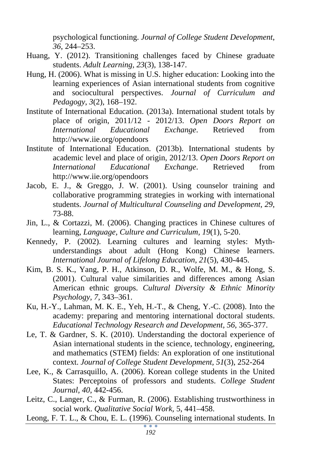psychological functioning. *Journal of College Student Development*, *36*, 244–253.

- Huang, Y. (2012). Transitioning challenges faced by Chinese graduate students. *Adult Learning, 23*(3), 138-147.
- Hung, H. (2006). What is missing in U.S. higher education: Looking into the learning experiences of Asian international students from cognitive and sociocultural perspectives. *Journal of Curriculum and Pedagogy*, *3*(2), 168–192.
- Institute of International Education. (2013a). International student totals by place of origin, 2011/12 - 2012/13. *Open Doors Report on International Educational Exchange*. Retrieved from http://www.iie.org/opendoors
- Institute of International Education. (2013b). International students by academic level and place of origin, 2012/13. *Open Doors Report on International Educational Exchange*. Retrieved from http://www.iie.org/opendoors
- Jacob, E. J., & Greggo, J. W. (2001). Using counselor training and collaborative programming strategies in working with international students. *Journal of Multicultural Counseling and Development, 29*, 73-88.
- Jin, L., & Cortazzi, M. (2006). Changing practices in Chinese cultures of learning, *Language, Culture and Curriculum, 19*(1), 5-20.
- Kennedy, P. (2002). Learning cultures and learning styles: Mythunderstandings about adult (Hong Kong) Chinese learners. *International Journal of Lifelong Education, 21*(5), 430-445.
- Kim, B. S. K., Yang, P. H., Atkinson, D. R., Wolfe, M. M., & Hong, S. (2001). Cultural value similarities and differences among Asian American ethnic groups. *Cultural Diversity & Ethnic Minority Psychology, 7,* 343–361.
- Ku, H.-Y., Lahman, M. K. E., Yeh, H.-T., & Cheng, Y.-C. (2008). Into the academy: preparing and mentoring international doctoral students. *Educational Technology Research and Development, 56*, 365-377.
- Le, T. & Gardner, S. K. (2010). Understanding the doctoral experience of Asian international students in the science, technology, engineering, and mathematics (STEM) fields: An exploration of one institutional context. *Journal of College Student Development, 51*(3), 252-264
- Lee, K., & Carrasquillo, A. (2006). Korean college students in the United States: Perceptoins of professors and students. *College Student Journal, 40*, 442-456.
- Leitz, C., Langer, C., & Furman, R. (2006). Establishing trustworthiness in social work. *Qualitative Social Work,* 5, 441–458.
- Leong, F. T. L., & Chou, E. L. (1996). Counseling international students. In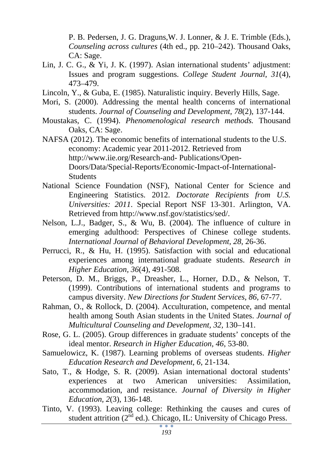P. B. Pedersen, J. G. Draguns,W. J. Lonner, & J. E. Trimble (Eds.), *Counseling across cultures* (4th ed., pp. 210–242). Thousand Oaks, CA: Sage.

- Lin, J. C. G., & Yi, J. K. (1997). Asian international students' adjustment: Issues and program suggestions. *College Student Journal*, *31*(4), 473–479.
- Lincoln, Y., & Guba, E. (1985). Naturalistic inquiry. Beverly Hills, Sage.
- Mori, S. (2000). Addressing the mental health concerns of international students. *Journal of Counseling and Development, 78*(2), 137-144.
- Moustakas, C. (1994). *Phenomenological research methods.* Thousand Oaks, CA: Sage.
- NAFSA (2012). The economic benefits of international students to the U.S. economy: Academic year 2011-2012. Retrieved from http://www.iie.org/Research-and- Publications/Open-Doors/Data/Special-Reports/Economic-Impact-of-International-**Students**
- National Science Foundation (NSF), National Center for Science and Engineering Statistics. 2012. *Doctorate Recipients from U.S. Universities: 2011*. Special Report NSF 13-301. Arlington, VA. Retrieved from http://www.nsf.gov/statistics/sed/.
- Nelson, L.J., Badger, S., & Wu, B. (2004). The influence of culture in emerging adulthood: Perspectives of Chinese college students. *International Journal of Behavioral Development, 28*, 26-36.
- Perrucci, R., & Hu, H. (1995). Satisfaction with social and educational experiences among international graduate students. *Research in Higher Education, 36*(4), 491-508.
- Peterson, D. M., Briggs, P., Dreasher, L., Horner, D.D., & Nelson, T. (1999). Contributions of international students and programs to campus diversity. *New Directions for Student Services, 86*, 67-77.
- Rahman, O., & Rollock, D. (2004). Acculturation, competence, and mental health among South Asian students in the United States. *Journal of Multicultural Counseling and Development, 32,* 130–141.
- Rose, G. L. (2005). Group differences in graduate students' concepts of the ideal mentor. *Research in Higher Education, 46*, 53-80.
- Samuelowicz, K. (1987). Learning problems of overseas students. *Higher Education Research and Development*, *6*, 21-134.
- Sato, T., & Hodge, S. R. (2009). Asian international doctoral students' experiences at two American universities: Assimilation, accommodation, and resistance. *Journal of Diversity in Higher Education, 2*(3), 136-148.
- Tinto, V. (1993). Leaving college: Rethinking the causes and cures of student attrition (2<sup>nd</sup> ed.). Chicago, IL: University of Chicago Press.